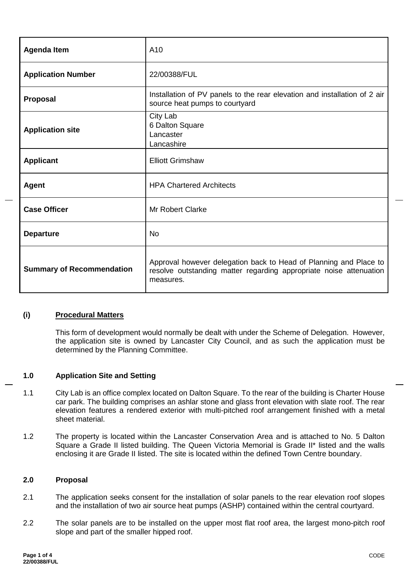| <b>Agenda Item</b>               | A10                                                                                                                                                  |
|----------------------------------|------------------------------------------------------------------------------------------------------------------------------------------------------|
| <b>Application Number</b>        | 22/00388/FUL                                                                                                                                         |
| <b>Proposal</b>                  | Installation of PV panels to the rear elevation and installation of 2 air<br>source heat pumps to courtyard                                          |
| <b>Application site</b>          | City Lab<br>6 Dalton Square<br>Lancaster<br>Lancashire                                                                                               |
| <b>Applicant</b>                 | <b>Elliott Grimshaw</b>                                                                                                                              |
| Agent                            | <b>HPA Chartered Architects</b>                                                                                                                      |
| <b>Case Officer</b>              | <b>Mr Robert Clarke</b>                                                                                                                              |
| <b>Departure</b>                 | <b>No</b>                                                                                                                                            |
| <b>Summary of Recommendation</b> | Approval however delegation back to Head of Planning and Place to<br>resolve outstanding matter regarding appropriate noise attenuation<br>measures. |

#### **(i) Procedural Matters**

This form of development would normally be dealt with under the Scheme of Delegation. However, the application site is owned by Lancaster City Council, and as such the application must be determined by the Planning Committee.

#### **1.0 Application Site and Setting**

- 1.1 City Lab is an office complex located on Dalton Square. To the rear of the building is Charter House car park. The building comprises an ashlar stone and glass front elevation with slate roof. The rear elevation features a rendered exterior with multi-pitched roof arrangement finished with a metal sheet material.
- 1.2 The property is located within the Lancaster Conservation Area and is attached to No. 5 Dalton Square a Grade II listed building. The Queen Victoria Memorial is Grade II\* listed and the walls enclosing it are Grade II listed. The site is located within the defined Town Centre boundary.

#### **2.0 Proposal**

- 2.1 The application seeks consent for the installation of solar panels to the rear elevation roof slopes and the installation of two air source heat pumps (ASHP) contained within the central courtyard.
- 2.2 The solar panels are to be installed on the upper most flat roof area, the largest mono-pitch roof slope and part of the smaller hipped roof.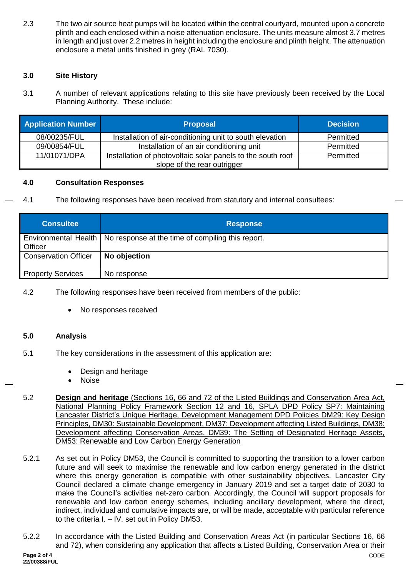2.3 The two air source heat pumps will be located within the central courtyard, mounted upon a concrete plinth and each enclosed within a noise attenuation enclosure. The units measure almost 3.7 metres in length and just over 2.2 metres in height including the enclosure and plinth height. The attenuation enclosure a metal units finished in grey (RAL 7030).

### **3.0 Site History**

3.1 A number of relevant applications relating to this site have previously been received by the Local Planning Authority. These include:

| <b>Application Number</b> | <b>Proposal</b>                                                                            | <b>Decision</b> |
|---------------------------|--------------------------------------------------------------------------------------------|-----------------|
| 08/00235/FUL              | Installation of air-conditioning unit to south elevation                                   | Permitted       |
| 09/00854/FUL              | Installation of an air conditioning unit                                                   | Permitted       |
| 11/01071/DPA              | Installation of photovoltaic solar panels to the south roof<br>slope of the rear outrigger | Permitted       |

#### **4.0 Consultation Responses**

4.1 The following responses have been received from statutory and internal consultees:

| <b>Consultee</b>            | <b>Response</b>                                                          |
|-----------------------------|--------------------------------------------------------------------------|
| Officer                     | Environmental Health   No response at the time of compiling this report. |
| <b>Conservation Officer</b> | No objection                                                             |
| <b>Property Services</b>    | No response                                                              |

- 4.2 The following responses have been received from members of the public:
	- No responses received

#### **5.0 Analysis**

- 5.1 The key considerations in the assessment of this application are:
	- Design and heritage
	- Noise
- 5.2 **Design and heritage** (Sections 16, 66 and 72 of the Listed Buildings and Conservation Area Act, National Planning Policy Framework Section 12 and 16, SPLA DPD Policy SP7: Maintaining Lancaster District's Unique Heritage, Development Management DPD Policies DM29: Key Design Principles, DM30: Sustainable Development, DM37: Development affecting Listed Buildings, DM38: Development affecting Conservation Areas, DM39: The Setting of Designated Heritage Assets, DM53: Renewable and Low Carbon Energy Generation
- 5.2.1 As set out in Policy DM53, the Council is committed to supporting the transition to a lower carbon future and will seek to maximise the renewable and low carbon energy generated in the district where this energy generation is compatible with other sustainability objectives. Lancaster City Council declared a climate change emergency in January 2019 and set a target date of 2030 to make the Council's activities net-zero carbon. Accordingly, the Council will support proposals for renewable and low carbon energy schemes, including ancillary development, where the direct, indirect, individual and cumulative impacts are, or will be made, acceptable with particular reference to the criteria I. – IV. set out in Policy DM53.
- 5.2.2 In accordance with the Listed Building and Conservation Areas Act (in particular Sections 16, 66 and 72), when considering any application that affects a Listed Building, Conservation Area or their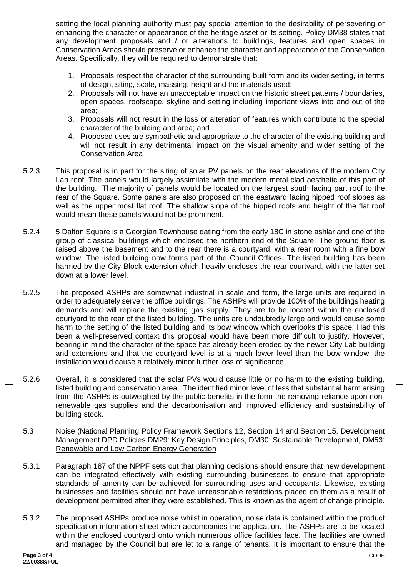setting the local planning authority must pay special attention to the desirability of persevering or enhancing the character or appearance of the heritage asset or its setting. Policy DM38 states that any development proposals and / or alterations to buildings, features and open spaces in Conservation Areas should preserve or enhance the character and appearance of the Conservation Areas. Specifically, they will be required to demonstrate that:

- 1. Proposals respect the character of the surrounding built form and its wider setting, in terms of design, siting, scale, massing, height and the materials used;
- 2. Proposals will not have an unacceptable impact on the historic street patterns / boundaries, open spaces, roofscape, skyline and setting including important views into and out of the area;
- 3. Proposals will not result in the loss or alteration of features which contribute to the special character of the building and area; and
- 4. Proposed uses are sympathetic and appropriate to the character of the existing building and will not result in any detrimental impact on the visual amenity and wider setting of the Conservation Area
- 5.2.3 This proposal is in part for the siting of solar PV panels on the rear elevations of the modern City Lab roof. The panels would largely assimilate with the modern metal clad aesthetic of this part of the building. The majority of panels would be located on the largest south facing part roof to the rear of the Square. Some panels are also proposed on the eastward facing hipped roof slopes as well as the upper most flat roof. The shallow slope of the hipped roofs and height of the flat roof would mean these panels would not be prominent.
- 5.2.4 5 Dalton Square is a Georgian Townhouse dating from the early 18C in stone ashlar and one of the group of classical buildings which enclosed the northern end of the Square. The ground floor is raised above the basement and to the rear there is a courtyard, with a rear room with a fine bow window. The listed building now forms part of the Council Offices. The listed building has been harmed by the City Block extension which heavily encloses the rear courtyard, with the latter set down at a lower level.
- 5.2.5 The proposed ASHPs are somewhat industrial in scale and form, the large units are required in order to adequately serve the office buildings. The ASHPs will provide 100% of the buildings heating demands and will replace the existing gas supply. They are to be located within the enclosed courtyard to the rear of the listed building. The units are undoubtedly large and would cause some harm to the setting of the listed building and its bow window which overlooks this space. Had this been a well-preserved context this proposal would have been more difficult to justify. However, bearing in mind the character of the space has already been eroded by the newer City Lab building and extensions and that the courtyard level is at a much lower level than the bow window, the installation would cause a relatively minor further loss of significance.
- 5.2.6 Overall, it is considered that the solar PVs would cause little or no harm to the existing building, listed building and conservation area. The identified minor level of less that substantial harm arising from the ASHPs is outweighed by the public benefits in the form the removing reliance upon nonrenewable gas supplies and the decarbonisation and improved efficiency and sustainability of building stock.
- 5.3 Noise (National Planning Policy Framework Sections 12, Section 14 and Section 15, Development Management DPD Policies DM29: Key Design Principles, DM30: Sustainable Development, DM53: Renewable and Low Carbon Energy Generation
- 5.3.1 Paragraph 187 of the NPPF sets out that planning decisions should ensure that new development can be integrated effectively with existing surrounding businesses to ensure that appropriate standards of amenity can be achieved for surrounding uses and occupants. Likewise, existing businesses and facilities should not have unreasonable restrictions placed on them as a result of development permitted after they were established. This is known as the agent of change principle.
- 5.3.2 The proposed ASHPs produce noise whilst in operation, noise data is contained within the product specification information sheet which accompanies the application. The ASHPs are to be located within the enclosed courtyard onto which numerous office facilities face. The facilities are owned and managed by the Council but are let to a range of tenants. It is important to ensure that the